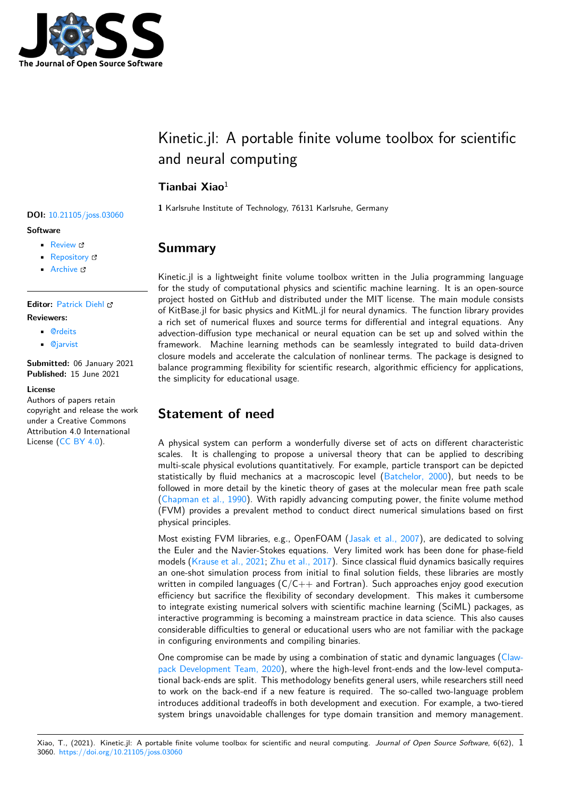

# Kinetic.jl: A portable finite volume toolbox for scientific and neural computing

# **Tianbai Xiao**<sup>1</sup>

**1** Karlsruhe Institute of Technology, 76131 Karlsruhe, Germany

### **Summary**

Kinetic.jl is a lightweight finite volume toolbox written in the Julia programming language for the study of computational physics and scientific machine learning. It is an open-source project hosted on GitHub and distributed under the MIT license. The main module consists of KitBase.jl for basic physics and KitML.jl for neural dynamics. The function library provides a rich set of numerical fluxes and source terms for differential and integral equations. Any advection-diffusion type mechanical or neural equation can be set up and solved within the framework. Machine learning methods can be seamlessly integrated to build data-driven closure models and accelerate the calculation of nonlinear terms. The package is designed to balance programming flexibility for scientific research, algorithmic efficiency for applications, the simplicity for educational usage.

# **Statement of need**

A physical system can perform a wonderfully diverse set of acts on different characteristic scales. It is challenging to propose a universal theory that can be applied to describing multi-scale physical evolutions quantitatively. For example, particle transport can be depicted statistically by fluid mechanics at a macroscopic level (Batchelor, 2000), but needs to be followed in more detail by the kinetic theory of gases at the molecular mean free path scale (Chapman et al., 1990). With rapidly advancing computing power, the finite volume method (FVM) provides a prevalent method to conduct direct numerical simulations based on first physical principles.

Most existing FVM libraries, e.g., OpenFOAM (Jasak et al., 2007), are dedicated to solving t[he Euler and the Nav](#page-4-0)ier-Stokes equations. Very limited work has been done for phase-field models (Krause et al., 2021; Zhu et al., 2017). Since classical fluid dynamics basically requires an one-shot simulation process from initial to final solution fields, these libraries are mostly written in compiled languages  $(C/C++$  and For[tran\). Such approa](#page-4-1)ches enjoy good execution efficiency but sacrifice the flexibility of secondary development. This makes it cumbersome to integ[rate existing numer](#page-4-2)i[cal solvers with s](#page-4-3)cientific machine learning (SciML) packages, as interactive programming is becoming a mainstream practice in data science. This also causes considerable difficulties to general or educational users who are not familiar with the package in configuring environments and compiling binaries.

One compromise can be made by using a combination of static and dynamic languages (Clawpack Development Team, 2020), where the high-level front-ends and the low-level computational back-ends are split. This methodology benefits general users, while researchers still need to work on the back-end if a new feature is required. The so-called two-language problem introduces additional tradeoffs in both development and execution. For example, a two[-tiered](#page-4-4) [system brings unavoidable chal](#page-4-4)lenges for type domain transition and memory management.

#### **DOI:** 10.21105/joss.03060

#### **Software**

- Review &
- [Repository](https://doi.org/10.21105/joss.03060) &
- Archive

#### **Editor:** [Patrick D](https://github.com/vavrines/Kinetic.jl)iehl

#### **Revie[wers:](https://doi.org/10.5281/zenodo.4958132)**

- @rdeits
- @[jarvist](http://www.diehlpk.de)

**Submitted:** 06 January 2021 **Publi[shed:](https://github.com/rdeits)** 15 June 2021

#### **Licen[se](https://github.com/jarvist)**

Authors of papers retain copyright and release the work under a Creative Commons Attribution 4.0 International License (CC BY 4.0).

Xiao, T., (2021). Kinetic.jl: A portable finite volume toolbox for scientific and neural computing. *Journal of Open Source Software*, 6(62), 13060. https://doi.org/10.21105/joss.03060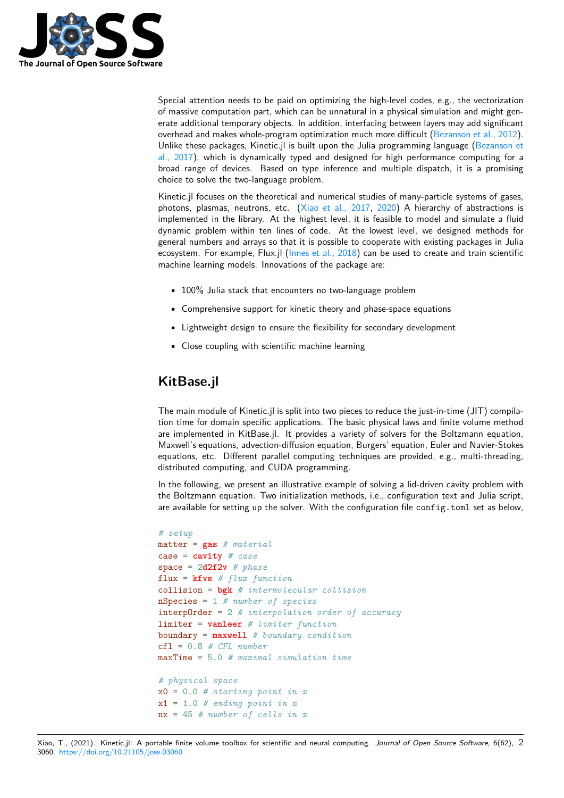

Special attention needs to be paid on optimizing the high-level codes, e.g., the vectorization of massive computation part, which can be unnatural in a physical simulation and might generate additional temporary objects. In addition, interfacing between layers may add significant overhead and makes whole-program optimization much more difficult (Bezanson et al., 2012). Unlike these packages, Kinetic.jl is built upon the Julia programming language (Bezanson et al., 2017), which is dynamically typed and designed for high performance computing for a broad range of devices. Based on type inference and multiple dispatch, it is a promising choice to solve the two-language problem.

Kinetic.jl focuses on the theoretical and numerical studies of many-particle syste[ms of gases,](#page-4-5) [photons,](#page-4-5) plasmas, neutrons, etc. (Xiao et al., 2017, 2020) A hierarchy of abstractions is implemented in the library. At the highest level, it is feasible to model and simulate a fluid dynamic problem within ten lines of code. At the lowest level, we designed methods for general numbers and arrays so that it is possible to cooperate with existing packages in Julia ecosystem. For example, Flux.jl (In[nes et al., 2018\) ca](#page-4-6)[n be u](#page-4-7)sed to create and train scientific machine learning models. Innovations of the package are:

- 100% Julia stack that encounters no two-language problem
- Comprehensive support for [kinetic theory and](#page-4-8) phase-space equations
- Lightweight design to ensure the flexibility for secondary development
- Close coupling with scientific machine learning

# **KitBase.jl**

The main module of Kinetic.jl is split into two pieces to reduce the just-in-time (JIT) compilation time for domain specific applications. The basic physical laws and finite volume method are implemented in KitBase.jl. It provides a variety of solvers for the Boltzmann equation, Maxwell's equations, advection-diffusion equation, Burgers' equation, Euler and Navier-Stokes equations, etc. Different parallel computing techniques are provided, e.g., multi-threading, distributed computing, and CUDA programming.

In the following, we present an illustrative example of solving a lid-driven cavity problem with the Boltzmann equation. Two initialization methods, i.e., configuration text and Julia script, are available for setting up the solver. With the configuration file config.toml set as below,

```
# setup
matter = gas # material
case = cavity # case
space = 2d2f2v # phase
flux = kfvs # flux function
collision = bgk # intermolecular collision
nSpecies = 1 # number of species
interpOrder = 2 # interpolation order of accuracy
limiter = vanleer # limiter function
boundary = maxwell # boundary condition
cfl = 0.8 # CFL number
maxTime = 5.0 # maximal simulation time
# physical space
x0 = 0.0 # starting point in x
x1 = 1.0 # ending point in x
nx = 45 # number of cells in x
```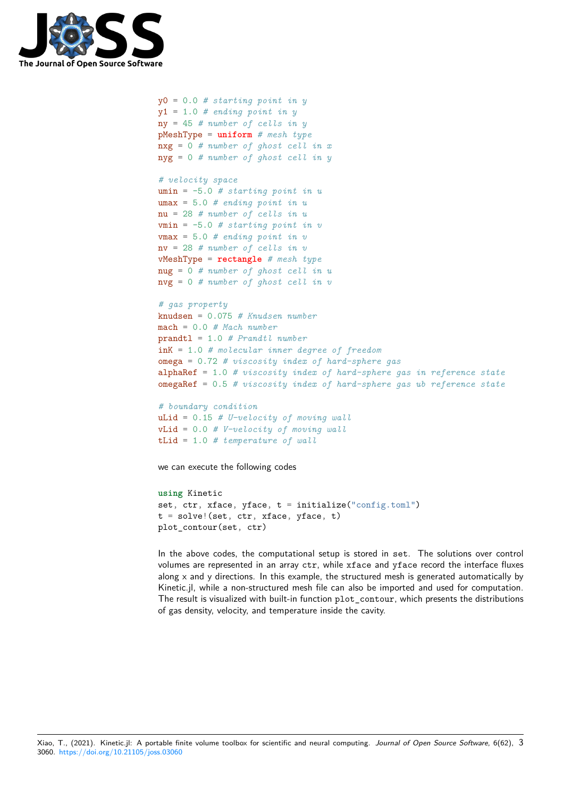

```
y0 = 0.0 # starting point in y
y1 = 1.0 # ending point in y
ny = 45 # number of cells in y
pMeshType = uniform # mesh type
nxg = 0 # number of ghost cell in x
nyg = 0 # number of ghost cell in y
# velocity space
umin = -5.0 # starting point in u
umax = 5.0 # ending point in u
nu = 28 # number of cells in u
vmin = -5.0 # starting point in v
vmax = 5.0 # ending point in v
nv = 28 # number of cells in v
vMeshType = rectangle # mesh type
nug = 0 # number of ghost cell in u
nvg = 0 # number of ghost cell in v
# gas property
knudsen = 0.075 # Knudsen number
mach = 0.0 # Mach number
prandtl = 1.0 # Prandtl number
inK = 1.0 # molecular inner degree of freedom
omega = 0.72 # viscosity index of hard-sphere gas
alphaRef = 1.0 # viscosity index of hard-sphere gas in reference state
omegaRef = 0.5 # viscosity index of hard-sphere gas ub reference state
# boundary condition
```

```
uLid = 0.15 # U-velocity of moving wall
vLid = 0.0 # V-velocity of moving wall
tLid = 1.0 # temperature of wall
```
we can execute the following codes

```
using Kinetic
set, ctr, xface, yface, t = initialize("config.toml")t = solve!(set, ctr, xface, yface, t)
plot_contour(set, ctr)
```
In the above codes, the computational setup is stored in set. The solutions over control volumes are represented in an array ctr, while xface and yface record the interface fluxes along x and y directions. In this example, the structured mesh is generated automatically by Kinetic.jl, while a non-structured mesh file can also be imported and used for computation. The result is visualized with built-in function plot\_contour, which presents the distributions of gas density, velocity, and temperature inside the cavity.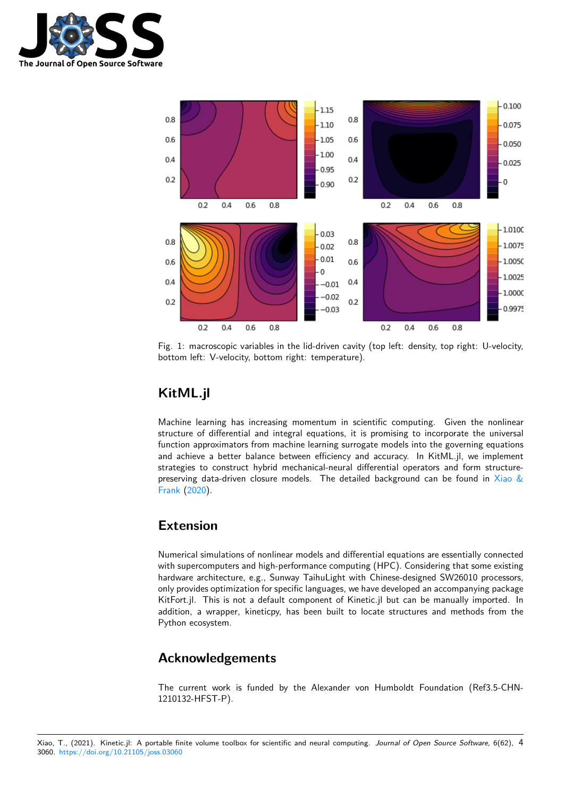



Fig. 1: macroscopic variables in the lid-driven cavity (top left: density, top right: U-velocity, bottom left: V-velocity, bottom right: temperature).

# **KitML.jl**

Machine learning has increasing momentum in scientific computing. Given the nonlinear structure of differential and integral equations, it is promising to incorporate the universal function approximators from machine learning surrogate models into the governing equations and achieve a better balance between efficiency and accuracy. In KitML.jl, we implement strategies to construct hybrid mechanical-neural differential operators and form structurepreserving data-driven closure models. The detailed background can be found in Xiao  $\&$ Frank (2020).

### **[Extensio](#page-4-9)n**

Numerical simulations of nonlinear models and differential equations are essentially connected with supercomputers and high-performance computing (HPC). Considering that some existing hardware architecture, e.g., Sunway TaihuLight with Chinese-designed SW26010 processors, only provides optimization for specific languages, we have developed an accompanying package KitFort.jl. This is not a default component of Kinetic.jl but can be manually imported. In addition, a wrapper, kineticpy, has been built to locate structures and methods from the Python ecosystem.

# **Acknowledgements**

The current work is funded by the Alexander von Humboldt Foundation (Ref3.5-CHN-1210132-HFST-P).

Xiao, T., (2021). Kinetic.jl: A portable finite volume toolbox for scientific and neural computing. *Journal of Open Source Software*, 6(62), 43060. https://doi.org/10.21105/joss.03060